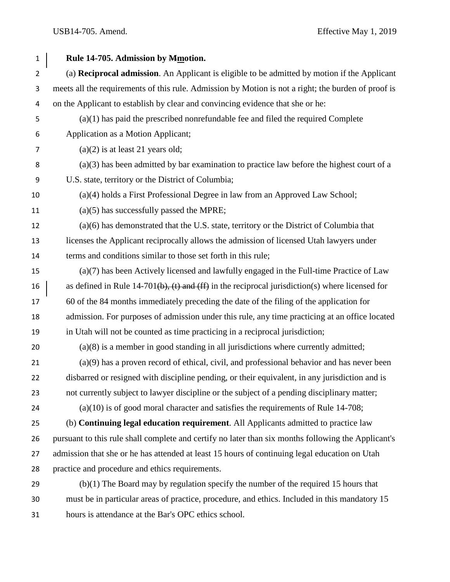| $\mathbf{1}$   | Rule 14-705. Admission by Mmotion.                                                                  |
|----------------|-----------------------------------------------------------------------------------------------------|
| $\overline{2}$ | (a) Reciprocal admission. An Applicant is eligible to be admitted by motion if the Applicant        |
| 3              | meets all the requirements of this rule. Admission by Motion is not a right; the burden of proof is |
| 4              | on the Applicant to establish by clear and convincing evidence that she or he:                      |
| 5              | $(a)(1)$ has paid the prescribed nonrefundable fee and filed the required Complete                  |
| 6              | Application as a Motion Applicant;                                                                  |
| 7              | $(a)(2)$ is at least 21 years old;                                                                  |
| 8              | $(a)(3)$ has been admitted by bar examination to practice law before the highest court of a         |
| 9              | U.S. state, territory or the District of Columbia;                                                  |
| 10             | (a)(4) holds a First Professional Degree in law from an Approved Law School;                        |
| 11             | $(a)(5)$ has successfully passed the MPRE;                                                          |
| 12             | $(a)(6)$ has demonstrated that the U.S. state, territory or the District of Columbia that           |
| 13             | licenses the Applicant reciprocally allows the admission of licensed Utah lawyers under             |
| 14             | terms and conditions similar to those set forth in this rule;                                       |
| 15             | $(a)(7)$ has been Actively licensed and lawfully engaged in the Full-time Practice of Law           |
| 16             | as defined in Rule 14-701(b), (t) and (ff) in the reciprocal jurisdiction(s) where licensed for     |
| 17             | 60 of the 84 months immediately preceding the date of the filing of the application for             |
| 18             | admission. For purposes of admission under this rule, any time practicing at an office located      |
| 19             | in Utah will not be counted as time practicing in a reciprocal jurisdiction;                        |
| 20             | $(a)(8)$ is a member in good standing in all jurisdictions where currently admitted;                |
| 21             | $(a)(9)$ has a proven record of ethical, civil, and professional behavior and has never been        |
| 22             | disbarred or resigned with discipline pending, or their equivalent, in any jurisdiction and is      |
| 23             | not currently subject to lawyer discipline or the subject of a pending disciplinary matter;         |
| 24             | $(a)(10)$ is of good moral character and satisfies the requirements of Rule 14-708;                 |
| 25             | (b) Continuing legal education requirement. All Applicants admitted to practice law                 |
| 26             | pursuant to this rule shall complete and certify no later than six months following the Applicant's |
| 27             | admission that she or he has attended at least 15 hours of continuing legal education on Utah       |
| 28             | practice and procedure and ethics requirements.                                                     |
| 29             | $(b)(1)$ The Board may by regulation specify the number of the required 15 hours that               |
| 30             | must be in particular areas of practice, procedure, and ethics. Included in this mandatory 15       |

hours is attendance at the Bar's OPC ethics school.